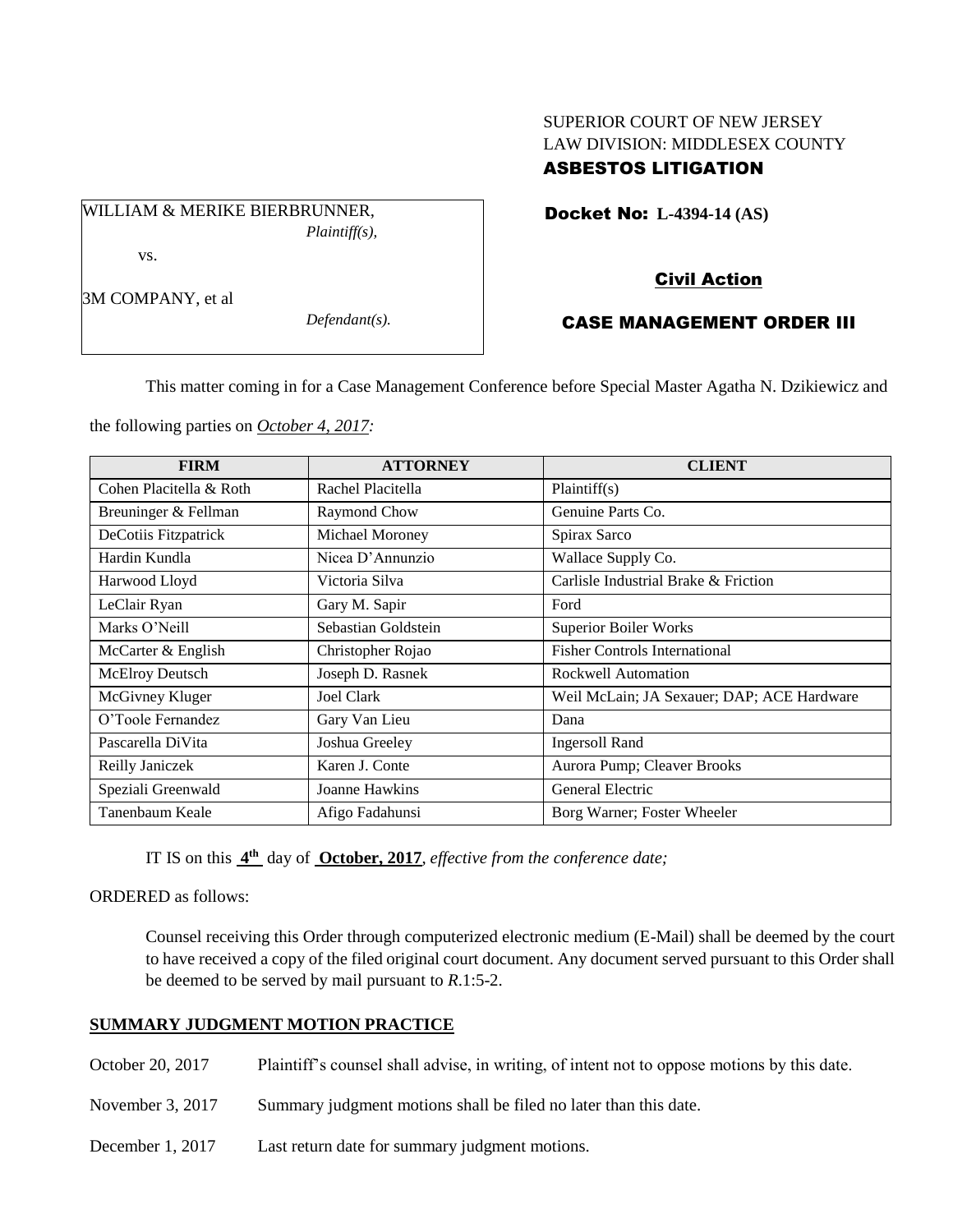# SUPERIOR COURT OF NEW JERSEY LAW DIVISION: MIDDLESEX COUNTY ASBESTOS LITIGATION

Docket No: **L-4394-14 (AS)** 

WILLIAM & MERIKE BIERBRUNNER, *Plaintiff(s),* vs.

Civil Action

## 3M COMPANY, et al

*Defendant(s).*

## CASE MANAGEMENT ORDER III

This matter coming in for a Case Management Conference before Special Master Agatha N. Dzikiewicz and

the following parties on *October 4, 2017:*

| <b>FIRM</b>             | <b>ATTORNEY</b>     | <b>CLIENT</b>                              |
|-------------------------|---------------------|--------------------------------------------|
| Cohen Placitella & Roth | Rachel Placitella   | Plaintiff(s)                               |
| Breuninger & Fellman    | Raymond Chow        | Genuine Parts Co.                          |
| DeCotiis Fitzpatrick    | Michael Moroney     | Spirax Sarco                               |
| Hardin Kundla           | Nicea D'Annunzio    | Wallace Supply Co.                         |
| Harwood Lloyd           | Victoria Silva      | Carlisle Industrial Brake & Friction       |
| LeClair Ryan            | Gary M. Sapir       | Ford                                       |
| Marks O'Neill           | Sebastian Goldstein | <b>Superior Boiler Works</b>               |
| McCarter & English      | Christopher Rojao   | <b>Fisher Controls International</b>       |
| McElroy Deutsch         | Joseph D. Rasnek    | Rockwell Automation                        |
| McGivney Kluger         | <b>Joel Clark</b>   | Weil McLain; JA Sexauer; DAP; ACE Hardware |
| O'Toole Fernandez       | Gary Van Lieu       | Dana                                       |
| Pascarella DiVita       | Joshua Greeley      | <b>Ingersoll Rand</b>                      |
| Reilly Janiczek         | Karen J. Conte      | Aurora Pump; Cleaver Brooks                |
| Speziali Greenwald      | Joanne Hawkins      | General Electric                           |
| Tanenbaum Keale         | Afigo Fadahunsi     | Borg Warner; Foster Wheeler                |

IT IS on this **4 th** day of **October, 2017**, *effective from the conference date;*

ORDERED as follows:

Counsel receiving this Order through computerized electronic medium (E-Mail) shall be deemed by the court to have received a copy of the filed original court document. Any document served pursuant to this Order shall be deemed to be served by mail pursuant to *R*.1:5-2.

## **SUMMARY JUDGMENT MOTION PRACTICE**

- October 20, 2017 Plaintiff's counsel shall advise, in writing, of intent not to oppose motions by this date.
- November 3, 2017 Summary judgment motions shall be filed no later than this date.
- December 1, 2017 Last return date for summary judgment motions.